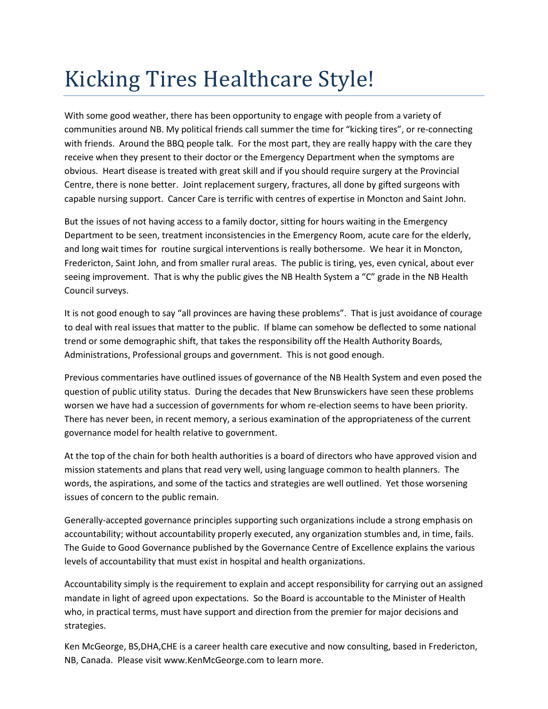## Kicking Tires Healthcare Style!

With some good weather, there has been opportunity to engage with people from a variety of communities around NB. My political friends call summer the time for "kicking tires", or re-connecting with friends. Around the BBQ people talk. For the most part, they are really happy with the care they receive when they present to their doctor or the Emergency Department when the symptoms are obvious. Heart disease is treated with great skill and if you should require surgery at the Provincial Centre, there is none better. Joint replacement surgery, fractures, all done by gifted surgeons with capable nursing support. Cancer Care is terrific with centres of expertise in Moncton and Saint John.

But the issues of not having access to a family doctor, sitting for hours waiting in the Emergency Department to be seen, treatment inconsistencies in the Emergency Room, acute care for the elderly, and long wait times for routine surgical interventions is really bothersome. We hear it in Moncton, Fredericton, Saint John, and from smaller rural areas. The public is tiring, yes, even cynical, about ever seeing improvement. That is why the public gives the NB Health System a "C" grade in the NB Health Council surveys.

It is not good enough to say "all provinces are having these problems". That is just avoidance of courage to deal with real issues that matter to the public. If blame can somehow be deflected to some national trend or some demographic shift, that takes the responsibility off the Health Authority Boards, Administrations, Professional groups and government. This is not good enough.

Previous commentaries have outlined issues of governance of the NB Health System and even posed the question of public utility status. During the decades that New Brunswickers have seen these problems worsen we have had a succession of governments for whom re-election seems to have been priority. There has never been, in recent memory, a serious examination of the appropriateness of the current governance model for health relative to government.

At the top of the chain for both health authorities is a board of directors who have approved vision and mission statements and plans that read very well, using language common to health planners. The words, the aspirations, and some of the tactics and strategies are well outlined. Yet those worsening issues of concern to the public remain.

Generally-accepted governance principles supporting such organizations include a strong emphasis on accountability; without accountability properly executed, any organization stumbles and, in time, fails. The Guide to Good Governance published by the Governance Centre of Excellence explains the various levels of accountability that must exist in hospital and health organizations.

Accountability simply is the requirement to explain and accept responsibility for carrying out an assigned mandate in light of agreed upon expectations. So the Board is accountable to the Minister of Health who, in practical terms, must have support and direction from the premier for major decisions and strategies.

Ken McGeorge, BS,DHA,CHE is a career health care executive and now consulting, based in Fredericton, NB, Canada. Please visit www.KenMcGeorge.com to learn more.